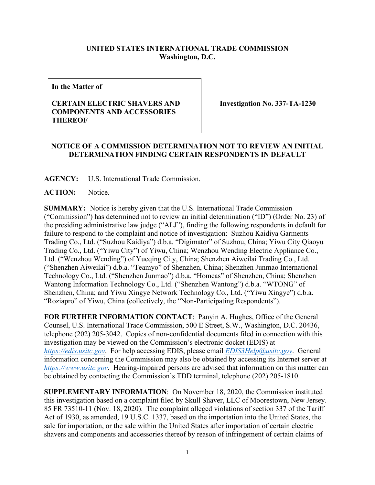## **UNITED STATES INTERNATIONAL TRADE COMMISSION Washington, D.C.**

**In the Matter of** 

## **CERTAIN ELECTRIC SHAVERS AND COMPONENTS AND ACCESSORIES THEREOF**

**Investigation No. 337-TA-1230**

## **NOTICE OF A COMMISSION DETERMINATION NOT TO REVIEW AN INITIAL DETERMINATION FINDING CERTAIN RESPONDENTS IN DEFAULT**

**AGENCY:** U.S. International Trade Commission.

**ACTION:** Notice.

**SUMMARY:** Notice is hereby given that the U.S. International Trade Commission ("Commission") has determined not to review an initial determination ("ID") (Order No. 23) of the presiding administrative law judge ("ALJ"), finding the following respondents in default for failure to respond to the complaint and notice of investigation: Suzhou Kaidiya Garments Trading Co., Ltd. ("Suzhou Kaidiya") d.b.a. "Digimator" of Suzhou, China; Yiwu City Qiaoyu Trading Co., Ltd. ("Yiwu City") of Yiwu, China; Wenzhou Wending Electric Appliance Co., Ltd. ("Wenzhou Wending") of Yueqing City, China; Shenzhen Aiweilai Trading Co., Ltd. ("Shenzhen Aiweilai") d.b.a. "Teamyo" of Shenzhen, China; Shenzhen Junmao International Technology Co., Ltd. ("Shenzhen Junmao") d.b.a. "Homeas" of Shenzhen, China; Shenzhen Wantong Information Technology Co., Ltd. ("Shenzhen Wantong") d.b.a. "WTONG" of Shenzhen, China; and Yiwu Xingye Network Technology Co., Ltd. ("Yiwu Xingye") d.b.a. "Roziapro" of Yiwu, China (collectively, the "Non-Participating Respondents").

**FOR FURTHER INFORMATION CONTACT**: Panyin A. Hughes, Office of the General Counsel, U.S. International Trade Commission, 500 E Street, S.W., Washington, D.C. 20436, telephone (202) 205-3042. Copies of non-confidential documents filed in connection with this investigation may be viewed on the Commission's electronic docket (EDIS) at *[https://edis.usitc.gov](https://edis.usitc.gov/)*. For help accessing EDIS, please email *[EDIS3Help@usitc.gov](mailto:EDIS3Help@usitc.gov)*. General information concerning the Commission may also be obtained by accessing its Internet server at *[https://www.usitc.gov](https://www.usitc.gov/)*. Hearing-impaired persons are advised that information on this matter can be obtained by contacting the Commission's TDD terminal, telephone (202) 205-1810.

**SUPPLEMENTARY INFORMATION**: On November 18, 2020, the Commission instituted this investigation based on a complaint filed by Skull Shaver, LLC of Moorestown, New Jersey. 85 FR 73510-11 (Nov. 18, 2020). The complaint alleged violations of section 337 of the Tariff Act of 1930, as amended, 19 U.S.C. 1337, based on the importation into the United States, the sale for importation, or the sale within the United States after importation of certain electric shavers and components and accessories thereof by reason of infringement of certain claims of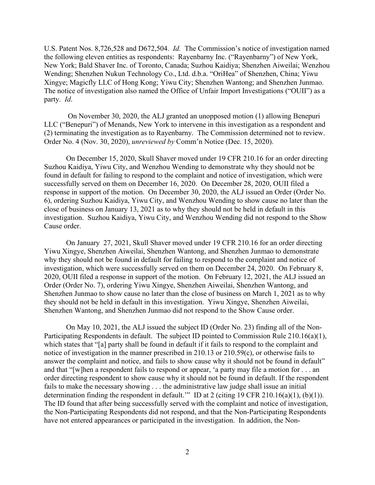U.S. Patent Nos. 8,726,528 and D672,504. *Id.* The Commission's notice of investigation named the following eleven entities as respondents: Rayenbarny Inc. ("Rayenbarny") of New York, New York; Bald Shaver Inc. of Toronto, Canada; Suzhou Kaidiya; Shenzhen Aiweilai; Wenzhou Wending; Shenzhen Nukun Technology Co., Ltd. d.b.a. "OriHea" of Shenzhen, China; Yiwu Xingye; Magicfly LLC of Hong Kong; Yiwu City; Shenzhen Wantong; and Shenzhen Junmao. The notice of investigation also named the Office of Unfair Import Investigations ("OUII") as a party. *Id*.

On November 30, 2020, the ALJ granted an unopposed motion (1) allowing Benepuri LLC ("Benepuri") of Menands, New York to intervene in this investigation as a respondent and (2) terminating the investigation as to Rayenbarny. The Commission determined not to review. Order No. 4 (Nov. 30, 2020), *unreviewed by* Comm'n Notice (Dec. 15, 2020).

On December 15, 2020, Skull Shaver moved under 19 CFR 210.16 for an order directing Suzhou Kaidiya, Yiwu City, and Wenzhou Wending to demonstrate why they should not be found in default for failing to respond to the complaint and notice of investigation, which were successfully served on them on December 16, 2020. On December 28, 2020, OUII filed a response in support of the motion. On December 30, 2020, the ALJ issued an Order (Order No. 6), ordering Suzhou Kaidiya, Yiwu City, and Wenzhou Wending to show cause no later than the close of business on January 13, 2021 as to why they should not be held in default in this investigation. Suzhou Kaidiya, Yiwu City, and Wenzhou Wending did not respond to the Show Cause order.

On January 27, 2021, Skull Shaver moved under 19 CFR 210.16 for an order directing Yiwu Xingye, Shenzhen Aiweilai, Shenzhen Wantong, and Shenzhen Junmao to demonstrate why they should not be found in default for failing to respond to the complaint and notice of investigation, which were successfully served on them on December 24, 2020. On February 8, 2020, OUII filed a response in support of the motion. On February 12, 2021, the ALJ issued an Order (Order No. 7), ordering Yiwu Xingye, Shenzhen Aiweilai, Shenzhen Wantong, and Shenzhen Junmao to show cause no later than the close of business on March 1, 2021 as to why they should not be held in default in this investigation. Yiwu Xingye, Shenzhen Aiweilai, Shenzhen Wantong, and Shenzhen Junmao did not respond to the Show Cause order.

On May 10, 2021, the ALJ issued the subject ID (Order No. 23) finding all of the Non-Participating Respondents in default. The subject ID pointed to Commission Rule 210.16(a)(1), which states that "[a] party shall be found in default if it fails to respond to the complaint and notice of investigation in the manner prescribed in 210.13 or 210.59(c), or otherwise fails to answer the complaint and notice, and fails to show cause why it should not be found in default" and that "[w]hen a respondent fails to respond or appear, 'a party may file a motion for . . . an order directing respondent to show cause why it should not be found in default. If the respondent fails to make the necessary showing . . . the administrative law judge shall issue an initial determination finding the respondent in default.'" ID at 2 (citing 19 CFR 210.16(a)(1), (b)(1)). The ID found that after being successfully served with the complaint and notice of investigation, the Non-Participating Respondents did not respond, and that the Non-Participating Respondents have not entered appearances or participated in the investigation. In addition, the Non